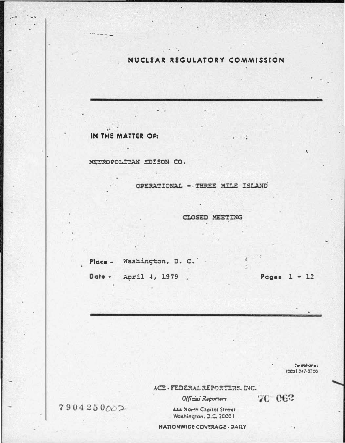### NUCLEAR REGULATORY COMMISSION

### IN THE MATTER OF:

METROPOLITAN EDISON CO.

OPERATIONAL - THREE MILE ISLAND

CLOSED MEETING

Place - Washington, D. C.

Date -April 4, 1979 . Pages  $1 - 12$ 

Telephone:  $(202) 247.3700$ 

70-062

ACE - FEDERAL REPORTERS, INC.

Official Reporters

**LLA North Copital Street** 'Mashington, D.C. 20001

**NATIONWIDE COVERAGE - DAILY** 

7904250002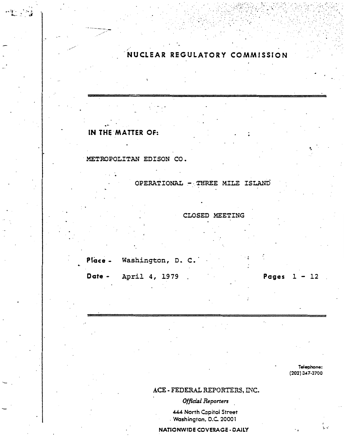NUCLEAR REGULATORY COMMISSION

# IN THE MATTER OF:

 $\mathcal{F}_{\mathbf{L}}$  ,  $\mathcal{F}_{\mathbf{A}}$ 

METROPOLITAN EDISON CO.

OPERATIONAL - THREE MILE ISLAND

CLOSED MEETING

Washington, D. C. Place -April 4, 1979 Date -

Pages  $1 - 12$ 

Telephone:  $(202)$  347-3700

້<br>1. ປ່

## ACE - FEDERAL REPORTERS, INC.

Official Reporters

444 North Capitol Street Washington, D.C. 20001

**NATIONWIDE COVERAGE - DAILY**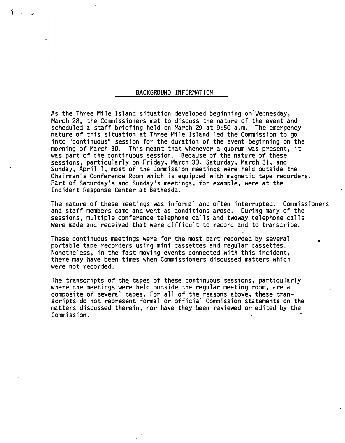#### BACKGROUND INFORMATION

As the Three Mile Island situation developed beginning on-Wednesday, March 28, the Commissioners met to discuss the nature of the event and scheduled a staff briefing held on March 29 at 9:50 a.m. The emergency nature of this situation at Three Mile Island led the Commission to go into "continuous" session for the duration of the event beginning on the morning of March 30. This meant that whenever a quorum was present, it was part of the continuous session. Because of the nature of these sessions, particularly on Friday, March 30, Saturday, March 31, and Sunday, April 1, most of the Conmission meetings were held outside the Chairman's Conference Room which is equipped with magnetic tape recorders. Part of Saturday's and Sunday's meetings, for example, were at the Incident Response Center at Bethesda.

The nature of these meetings was informal and often interrupted. Commissioners and staff members came and went as conditions arose. During many of the sessions, multiple conference telephone calls and twoway telephone calls were made and received that were difficult to record and to transcribe.

These continuous meetings were for the most part recorded by several portable tape recorders using mini cassettes and regular cassettes. Nonetheless, in the fast moving events connected with this incident, there may have been times when Commissioners discussed matters which were not recorded.

The transcripts of the tapes of these continuous sessions, particularly where the meetings were held outside the regular meeting room, are a composite of several tapes. For all of the· reasons above, these transcripts do not represent formal or official Commission statements on the matters discussed therein, nor have they been reviewed or edited by the Commission.

. '1 . ..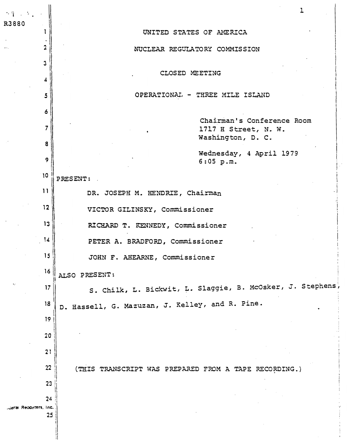| $\mathcal{H}^{\infty}_{\mathbf{I}}$ , $\mathcal{H}^{\infty}_{\mathbf{I}}$<br>R3880 |                |                                                                             |
|------------------------------------------------------------------------------------|----------------|-----------------------------------------------------------------------------|
|                                                                                    |                | UNITED STATES OF AMERICA                                                    |
|                                                                                    | $\overline{2}$ | NUCLEAR REGULATORY COMMISSION                                               |
|                                                                                    | 3              |                                                                             |
|                                                                                    | 4              | CLOSED MEETING                                                              |
|                                                                                    |                | OPERATIONAL - THREE MILE ISLAND                                             |
|                                                                                    | 6              |                                                                             |
|                                                                                    | 7              | Chairman's Conference Room<br>1717 H Street, N. W.                          |
|                                                                                    | 8              | Washington, D. C.                                                           |
|                                                                                    | 9              | Wednesday, 4 April 1979<br>6:05 p.m.                                        |
|                                                                                    | 10             | PRESENT:                                                                    |
|                                                                                    | 11             | DR. JOSEPH M. HENDRIE, Chairman                                             |
|                                                                                    | 12             | VICTOR GILINSKY, Commissioner                                               |
|                                                                                    | 13             | RICHARD T. KENNEDY, Commissioner                                            |
|                                                                                    | 14             | PETER A. BRADFORD, Commissioner                                             |
|                                                                                    | 15             | JOHN F. AHEARNE, Commissioner                                               |
|                                                                                    | 16             |                                                                             |
|                                                                                    | 17             | ALSO PRESENT:<br>S. Chilk, L. Bickwit, L. Slaggie, B. McOsker, J. Stephens, |
|                                                                                    | 18             | D. Hassell, G. Mazuzan, J. Kelley, and R. Pine.                             |
|                                                                                    | 19             |                                                                             |
|                                                                                    | 20             |                                                                             |
|                                                                                    | 21             |                                                                             |
|                                                                                    | 22             |                                                                             |
|                                                                                    | 23             | (THIS TRANSCRIPT WAS PREPARED FROM A TAPE RECORDING.)                       |
|                                                                                    | 24             |                                                                             |
| Lieral Reporters, Inc.                                                             | 25             |                                                                             |
|                                                                                    |                |                                                                             |
|                                                                                    |                |                                                                             |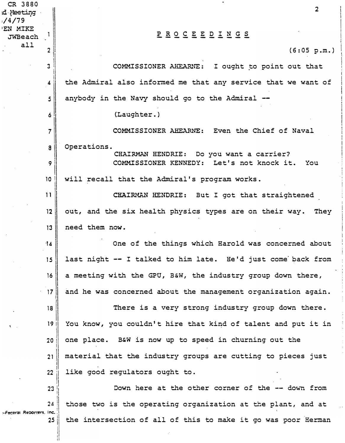| CR 3880                  |                         |                                                               |
|--------------------------|-------------------------|---------------------------------------------------------------|
| d Neeting<br>1/4/79      |                         | $\overline{2}$                                                |
| 'EN MIKE<br>JWBeach      |                         | <u>PROCEEDINGS</u>                                            |
| all                      | $\overline{\mathbf{c}}$ | (6:05 p.m.)                                                   |
|                          | 3                       | COMMISSIONER AHEARNE: I ought to point out that               |
|                          | 4                       | the Admiral also informed me that any service that we want of |
|                          | 5                       | anybody in the Navy should go to the Admiral --               |
|                          | 6                       | (Laughter.)                                                   |
|                          | $\overline{7}$          | COMMISSIONER AHEARNE: Even the Chief of Naval                 |
|                          | 8                       | Operations.<br>CHAIRMAN HENDRIE: Do you want a carrier?       |
|                          | 9                       | COMMISSIONER KENNEDY: Let's not knock it. You                 |
|                          | 10 <sub>o</sub>         | will recall that the Admiral's program works.                 |
|                          | 11                      | CHAIRMAN HENDRIE: But I got that straightened                 |
|                          | 12                      | out, and the six health physics types are on their way. They  |
|                          | 13                      | need them now.                                                |
|                          | 14                      | One of the things which Harold was concerned about            |
|                          | 15                      | last night -- I talked to him late. He'd just come back from  |
|                          | 16                      | a meeting with the GPU, B&W, the industry group down there,   |
|                          | 17                      | and he was concerned about the management organization again. |
|                          | 18 <sup>1</sup>         | There is a very strong industry group down there.             |
| $\mathbf{V}$             | 19 <sup>°</sup>         | You know, you couldn't hire that kind of talent and put it in |
|                          | 20 <sub>2</sub>         | one place. B&W is now up to speed in churning out the         |
|                          | 21                      | material that the industry groups are cutting to pieces just  |
|                          | 22                      | like good regulators ought to.                                |
|                          | 23                      | Down here at the other corner of the -- down from             |
| -Feceral Recorters, Inc. | 24                      | those two is the operating organization at the plant, and at  |
|                          | 25                      | the intersection of all of this to make it go was poor Herman |
|                          |                         |                                                               |

I I  $\vert$ I i !

 $\frac{1}{4}$ 

 $\ddot{\phi}$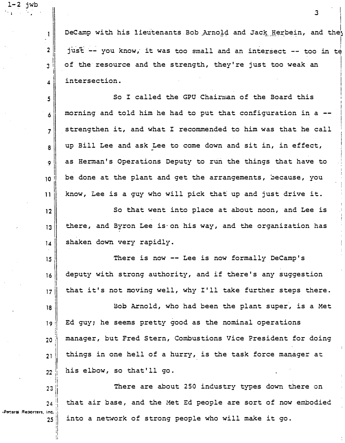DeCamp with his lieutenants Bob Arnold and Jack Herbein, and the I just -- you know, it was too small and an intersect -- too in te of the resource and the strength, they're just too weak an  $4$  intersection. |<br>|<br>|

 $1-2$  jwb

2  $\begin{array}{c} \n \begin{array}{c} \n \ \ \end{array} \n \end{array}$ I  $\mathbf{3}$ 

 $\mathbf{I}$ 

I i

> I i

. I'

!I

'i<br>!i

 $\mathbf{s}$  So I called the GPU Chai $\mathbf{r}$  and the Board this  $6 \parallel$  morning and told him he had to put that configuration in a -- $7$  strengthen it, and what I recommended to him was that he call  $\begin{bmatrix} 8 \end{bmatrix}$  up Bill Lee and ask Lee to come down and sit in, in effect, 9  $\parallel$ |<br>|<br>|<br>|  $\begin{array}{c} \begin{array}{c} \begin{array}{c} \begin{array}{c} \end{array} \\ \begin{array}{c} \end{array} \\ \begin{array}{c} \end{array} \end{array} \end{array}$ as Herman's Operations Deputy to run the things that have to be done at the plant and get the arrangements, because, you know, Lee is a guy who will pick that up and just drive it.

12 1  $\begin{array}{c} \hline \phantom{aa}13\phantom{a}\phantom{aa}\end{array}$ 14 So that went into place at about noon, and Lee is there, and Byron Lee is on his way, and the organization has shaken down very rapidly .

15 <sup>I</sup> I <sup>16</sup>1 II<br>|<br>|| **17** There is now  $--$  Lee is now formally DeCamp's deputy with strong authority, and if there's any suggestion that it's not moving well, why I'll take further steps there.

18 1 9ll "'0 !! <sup>4</sup>� i l i  $\begin{array}{c} 21 \ 22 \ 1 \end{array}$ Bob Arnold, who had been the plant super, is a Met Ed guy; he seems pretty good as the nominal operations manager, but Fred Stern, Combustions Vice President for doing things in one hell of a hurry, is the task force manager at his elbow, so that'll go.

 $23$  $24$ There are about 250 industry types down there on that air base, and the Met Ed people are sort of now embodied **-Fecarai Reporters. Inc.**  $25$ into a network of strong people who will make it go.

. In the case of the case of the case of the case of the case of  $\sim$  3 in the case of the case of the case of the case of the case of the case of the case of the case of the case of the case of the case of the case of th  $\begin{array}{ccc} \text{1} & & \text{1} \\ & \text{1} & & \text{1} \\ & \text{1} & & \text{1} \\ & \text{1} & & \text{1} \\ & \text{1} & & \text{1} \\ & \text{1} & & \text{1} \\ & \text{1} & & \text{1} \\ & \text{1} & & \text{1} \\ & \text{1} & & \text{1} \\ & \text{1} & & \text{1} \\ & \text{1} & & \text{1} \\ & \text{1} & & \text{1} \\ & \text{1} & & \text{1} \\ & \text{1} & & \text{1} \\ & \text{1} & & \text{1} \\ & \text{$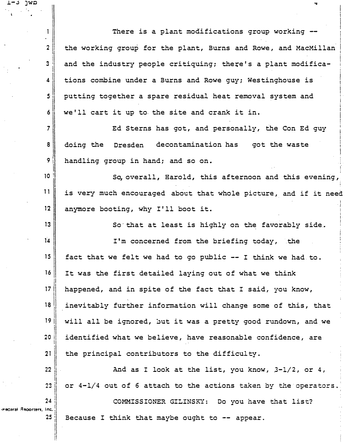1 There is a plant modifications group working  $2$  the working group for the plant, Burns and Rowe, and MacMillan  $\overline{3}$ and the industry people critiquing; there's a plant modifications combine under a Burns and Rowe guy; Westinghouse is  $\overline{\mathbf{4}}$  $5^{\circ}$ putting together a spare residual heat removal system and  $\ddot{\mathbf{6}}$ we'll cart it up to the site and crank it in.  $7\parallel$  20 Ed Sterns has got, and personally, the Con Ed guy 8 doing the Dresden decontamination has got the waste 9 | handling group in hand; and so on. I  $10$   $\parallel$  So, overall, Harold, this afternoon and this evening,  $11$  is very much encouraged about that whole picture, and if it need 12 anymore booting, why I'll boot it.  $13$  So that at least is highly on the favorably side. 14 I'm concerned from the briefing today, the 15 fact that we felt we had to go public  $--$  I think we had to. 16 It was the first detailed laying out of what we think I' 17 I happened, and in spite of the fact that I said, you know, I 18<br>19 ||<br>19 || inevitably further information will change some of this, that 19 I will all be ignored, but it was a pretty good rundown, and we ||<br>!|  $20$  identified what we believe, have reasonable confidence, are I  $21$ the principal contributors to the difficulty. 22 And as I look at the list, you know,  $3-1/2$ , or 4, 23 or 4-l/4 out of 6 attach to the actions taken by the operators.

 $24$ COMMISSIONER GILINSKY: Do you have that list? -Peceral Reporters, Inc. Because I think that maybe ought to  $-$  appear. 25

J..-..:S JWD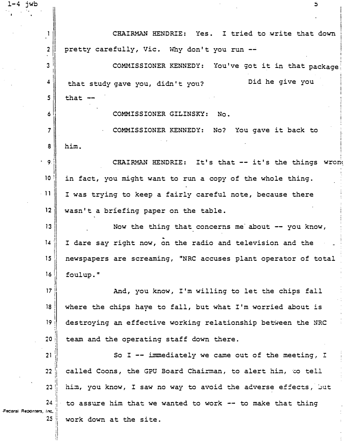CHAIRMAN HENDRIE: Yes. I tried to write that down  $\mathbf{1}$  $\overline{2}$ pretty carefully, Vic. Why don't you run -- $\overline{3}$ COMMISSIONER KENNEDY: You've got it in that package  $\boldsymbol{4}$ Did he give you that study gave you, didn't you? 5 that  $-$ COMMISSIONER GILINSKY:  $N_{\Omega}$ 6  $\overline{7}$ COMMISSIONER KENNEDY: No? You gave it back to him. 8  $\overline{9}$ . CHAIRMAN HENDRIE: It's that -- it's the things wrong  $10<sup>°</sup>$ in fact, you might want to run a copy of the whole thing.  $11$ I was trying to keep a fairly careful note, because there  $12$ wasn't a briefing paper on the table.  $13$ Now the thing that concerns me about -- you know,  $14$ I dare say right now, on the radio and television and the 15 newspapers are screaming, "NRC accuses plant operator of total 16 foulup."  $17$ And, you know, I'm willing to let the chips fall 18 where the chips have to fall, but what I'm worried about is 19 destroying an effective working relationship between the NRC  $20<sub>2</sub>$ team and the operating staff down there.  $21$ So I -- immediately we came out of the meeting, I called Coons, the GPU Board Chairman, to alert him, to tell  $22$ 23 him, you know, I saw no way to avoid the adverse effects, but  $24$ to assure him that we wanted to work -- to make that thing Federal Reporters, Inc.  $25$ work down at the site.

 $\overline{\mathbf{5}}$ 

 $1-4$  jwb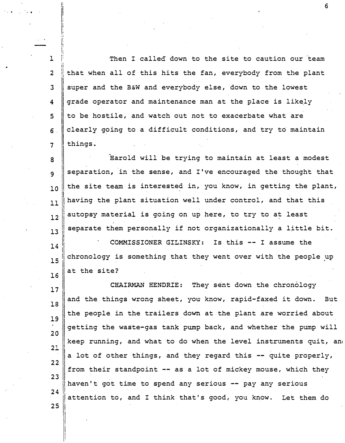1 2 3 4 5  $6<sup>1</sup>$ 7 I; :· ii Then I called down to the site to caution our team i! that when all of this hits the fan, everybody from the plant I super and the B&W and everybody else, down to the lowest grade operator and maintenance man at the place is likely to be hostile, and watch out not to exacerbate what are clearly g�ing to a difficult conditions, and try to maintain things.

8 9 10 11 Harold will be trying to maintain at least a modest separation, in the sense, and I've encouraged the thought that the site team is interested in, you know, in getting the plant, I !having the plant situation well under control, and that this  $\frac{12}{12}$  autopsy material is going on up here, to try to at least  $\mathbf{13}$  separate them personally if not organizationally a little bit.

 $\begin{array}{ccc} \hline 14 \end{array}$  COMMISSIONER GILINSKY: Is this -- I assume the I  $\frac{1}{15}$  chronology is something that they went over with the people up 16 at the site?

17 18 19 20 CHAIRMAN HENDRIE: They sent down the chronology and the things wrong sheet, you know, rapid-faxed it down. But the people in the trailers down at the plant are worried about getting the waste-gas tank pump back, and whether the pump will keep running, and what to do when the level instruments quit, and 21 a lot of other things, and they regard this  $-$ - quite properly, 22 from their standpoint -- as a lot of mickey mouse, which they 23 haven't got time to spend any serious  $-$  pay any serious  $24$ attention to, and I think that's good, you know. Let them do

<sup>2</sup>5 <sup>l</sup>

 $\parallel$ i I

... . .

.; I' li h 6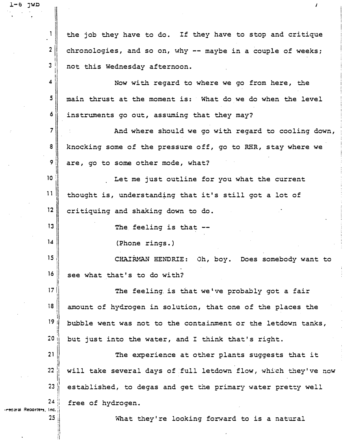1 the job they have to do. If they have to stop and critique 2 chronologies, and so on, why  $--$  maybe in a couple of weeks; ||<br>||<br>|| i 3 i not this Wednesday afternoon. I I 41 Now wi�� regard to where we go from here, the 5 main thrust at the moment is: What do we do when the level 6 instruments go out, assuming that they may? 7 And where should we go with regard to cooling down, a knocking some of the pressure off, go to RHR, stay where we 9/ are, go to some other mode, what? I I **10** Let me just outline for you what the current  $\overline{11}$ thought is, understanding that it's still got a lot of I 12 critiquing and shaking down to do. 13 The feeling is that --14 (Phone rings.) 15 || CHAIRMAN HENDRIE: Oh, boy. Does somebody want to  $16$  see what that's to do with? !<br>! 17 I The feeling. is that we've probably got a fair I i 1a I amount of hydrogen in solution, that one of the places the i I bubble went was not to the containment or the letdown tanks,  $\frac{1}{2}$  $20$ but just into the water, and I think that's right. I 21  $\begin{array}{c} 22 \ 22 \ \end{array}$ The experience at other plants suggests that it will take several days of full letdown flow, which they've now  $23$ established, to degas and get the primary water pretty well  $24$   $\parallel$ free of hydrogen. -recaral Reporters, Inc. ' 25

 $\blacksquare$  - 6 Jan  $\blacksquare$ 

What they're looking forward to is a natural

!I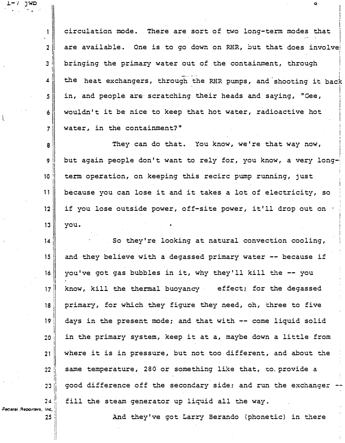||<br>||  $\frac{1}{7}$ I circulation mode. There are sort of two long-term modes that are available. One is to go down on RHR, but that does involve i I bringing the primary water out of the containment, through ! the heat exchangers, through the RHR pumps, and shooting it back in, and people. are scratching their heads and saying, "Gee, wouldn't it be nice to keep that hot water, radioactive hot water, in the containment? " I

 $\bullet$ 

' I

8 91 ||<br>|| 10 I 11 12 13 They can do that. You know, we're that way now, but again people don't want to rely for, you know, a very longterm operation, on keeping this recirc pump running, just because you can lose it and it takes a lot of electricity, so if you lose outside power, off-site power, it'll drop out on  $\cdot$ you.

 $14$ **15** 16 I' 171 1 18 i I 19 <sup>1</sup> I  $20$ I 21  $\begin{array}{c} \hline \rule{0pt}{1.5pt} \rule{0pt}{2.5pt} \rule{0pt}{2.5pt} \rule{0pt}{2.5pt} \rule{0pt}{2.5pt} \rule{0pt}{2.5pt} \rule{1pt}{2.5pt} \rule{1pt}{2.5pt} \rule{0pt}{2.5pt} \rule{0pt}{2.5pt} \rule{1pt}{2.5pt} \rule{0pt}{2.5pt} \rule{1pt}{2.5pt} \rule{0pt}{2.5pt} \rule{1pt}{2.5pt} \rule{1pt}{2.5pt} \rule{0pt}{2.5pt} \rule{0pt}{2.5pt} \rule{1pt}{2.5$ 23  $24$ So they're looking at natural convection cooling, and they believe with a degassed primary water -- because if you've got gas bubbles in it, why they'll kill the -- you know, kill the thermal buoyancy effect; for the degassed primary, for which they figure they need, oh, three to five days in the present mode; and that with -- come liquid solid in the primary system, keep it at a, maybe down a little from where it is in pressure, but not too different, and about the same temperature, 280 or something like that, to provide a good difference off the secondary side; and run the exchanger fill the steam generator up liquid all the way.

·Fet:eral .C!eQOrt�rs. Inc. :

25

l.-1 JWO

2

 $\overline{2}$ 

 $\mathbf{1}$ 

I  $\mathbf{3}$ 

I 4'

5

6

l

And they've got Larry Berando (phonetic) in there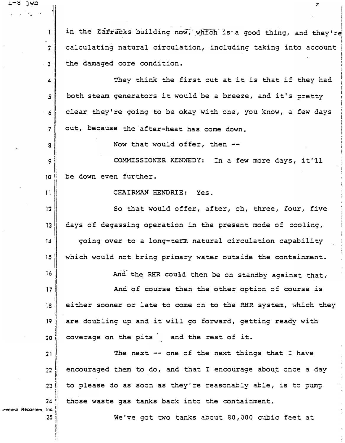in the Earracks building now, which is a good thing, and they're 1 calculating natural circulation, including taking into account  $\overline{2}$ the damaged core condition.  $\overline{3}$ They think the first cut at it is that if they had  $\boldsymbol{4}$ both steam generators it would be a breeze, and it's pretty 5 clear they're going to be okay with one, you know, a few days 6 out, because the after-heat has come down.  $\overline{7}$ Now that would offer, then --3 COMMISSIONER KENNEDY: In a few more days, it'll 9 be down even further.  $10<sup>°</sup>$ CHAIRMAN HENDRIE:  $11$ Yes. So that would offer, after, oh, three, four, five  $12$ days of degassing operation in the present mode of cooling,  $13$ going over to a long-term natural circulation capability  $14$ which would not bring primary water outside the containment. 15 16 And the RHR could then be on standby against that.  $17$ And of course then the other option of course is either sooner or late to come on to the RHR system, which they 18 19 are doubling up and it will go forward, getting ready with coverage on the pits and the rest of it.  $20$ The next -- one of the next things that I have  $21$ encouraged them to do, and that I encourage about once a day  $22$ to please do as soon as they're reasonably able, is to pump 23 those waste gas tanks back into the containment.  $24$ -recoral Reporters, Inc. 25 We've got two tanks about 80,000 cubic feet at

ヮ

מאן 1-8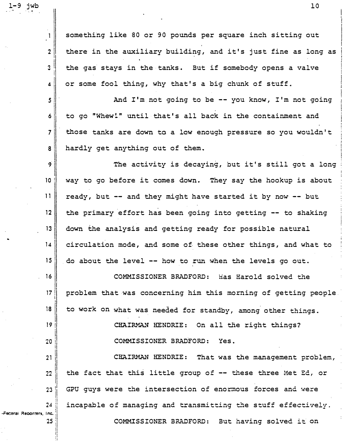something like 80 or 90 pounds per square inch sitting out there in the auxiliary building, and it's just fine as long as the gas stays in the tanks. But if somebody opens a valve or some fool thing, why that's a big chunk of stuff.

 $l - 9$  jwb .. .... . ...

 $\mathbf{1}$ 

 $\overline{2}$ 

3

4

5

21

22

23

 $24$ 

25

Feceral Reporters, Inc.

And  $I'm$  not going to be -- you know,  $I'm$  not going  $6$  to go "Whew!" until that's all back in the containment and 7 those tanks are down to a low enough pressure so you wouldn't 8 hardly get anything out of them.

9 $\begin{array}{c} \hbox{9} \\ \hbox{10} \end{array}$  The activity is decaying, but it's still got a long<br>10 way to go before it comes down. They say the hookup is about way to go before it comes down. They say the hookup is about  $|| \cdot ||$  ready, but -- and they might have started it by now -- but 12 the primary effort has been going into getting  $-$  to shaking 13 down the analysis and getting ready for possible natural 14 circulation mode, and some of. these other things, and what to  $15$ . do about the level -- how to run when the levels go out.

16 COMMISSIONER BRADFORD: Has Harold solved ��e 17 || problem that was concerning him this morning of getting people. I I 18 to work on what was needed for standby, among other things. 19 CHAIRMAN HENDRIE: On all the right things? COMMISSIONER BRADFORD: Yes. 20

CHAIRMAN HENDRIE: That was the management problem, the fact that this little group of -- these three Met Ed, or GPU guys were ��e intersection of enormous forces and were incapable of managing and transmitting the stuff effectively. COMMISSIONER BRADFORD: But having solved it on

10

I I !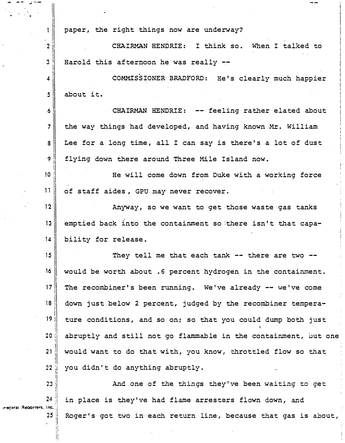$\mathbf{1}$ paper, the right things now are underway? CHAIRMAN HENDRIE: I think so. When I talked to  $\overline{2}$  $\overline{3}$ Harold this afternoon he was really --COMMISSIONER BRADFORD: He's clearly much happier  $\overline{\mathbf{4}}$  $5<sub>1</sub>$ about it. CHAIRMAN HENDRIE: -- feeling rather elated about 6 7 the way things had developed, and having known Mr. William Lee for a long time, all I can say is there's a lot of dust  $\mathbf{8}^{\circ}$ flying down there around Three Mile Island now. 9 He will come down from Duke with a working force  $10<sup>°</sup>$  $11$ of staff aides , GPU may never recover .. 12 Anyway, so we want to get those waste gas tanks emptied back into the containment so there isn't that capa- $13$  $.14$ bility for release.  $15$ They tell me that each tank  $--$  there are two  $--$ 16 would be worth about .6 percent hydrogen in the containment. i The recombiner's been running. We've already -- we've come <sup>17</sup> 1 i down just below 2 percent, judged by the recombiner tempera-18 l I I <sup>19</sup>I ture conditions, and so on; so that you could dump both just I I I abruptly and still not go flammable in the containment, but one 20 l I  $21$ would want to do that with, you know, throttled flow so that  $\begin{matrix} \vdots \\ \vdots \end{matrix}$ you didn't do anything abruptly.  $22$ I ! ll<br>|<br>|<br>| 23 And one of the things they've been waiting to get I  $24$ in place is they've had flame arresters flown down, and " I'

-Pecaral Reporters, Inc.

 $25<sub>1</sub>$ 

I I i

.- -- ..J ••-

Roger's got two in each return line, because that gas is about,